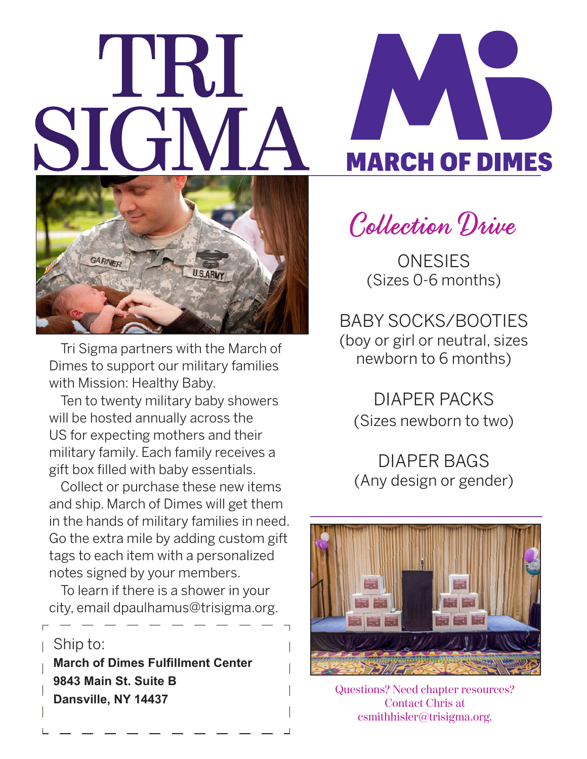## I'RI



Tri Sigma partners with the March of Dimes to support our military families with Mission: Healthy Baby.

Ten to twenty military baby showers will be hosted annually across the US for expecting mothers and their military family. Each family receives a gift box filled with baby essentials.

Collect or purchase these new items and ship. March of Dimes will get them in the hands of military families in need. Go the extra mile by adding custom gift tags to each item with a personalized notes signed by your members.

To learn if there is a shower in your city, email dpaulhamus@trisigma.org.

Ship to: **March of Dimes Fulfillment Center 9843 Main St. Suite B Dansville, NY 14437**



Collection Drive

**ONESIES** (Sizes 0-6 months)

BABY SOCKS/BOOTIES (boy or girl or neutral, sizes newborn to 6 months)

DIAPER PACKS (Sizes newborn to two)

DIAPER BAGS (Any design or gender)



Questions? Need chapter resources? Contact Chris at csmithhisler@trisigma.org.